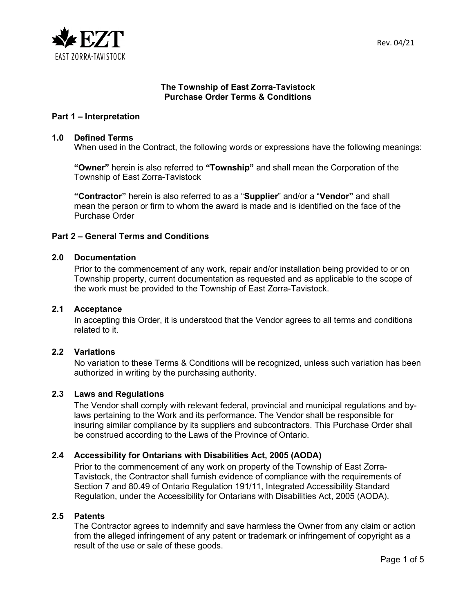

## **The Township of East Zorra-Tavistock Purchase Order Terms & Conditions**

## **Part 1 – Interpretation**

#### **1.0 Defined Terms**

When used in the Contract, the following words or expressions have the following meanings:

**"Owner"** herein is also referred to **"Township"** and shall mean the Corporation of the Township of East Zorra-Tavistock

**"Contractor"** herein is also referred to as a "**Supplier**" and/or a "**Vendor"** and shall mean the person or firm to whom the award is made and is identified on the face of the Purchase Order

### **Part 2 – General Terms and Conditions**

### **2.0 Documentation**

Prior to the commencement of any work, repair and/or installation being provided to or on Township property, current documentation as requested and as applicable to the scope of the work must be provided to the Township of East Zorra-Tavistock.

#### **2.1 Acceptance**

In accepting this Order, it is understood that the Vendor agrees to all terms and conditions related to it.

### **2.2 Variations**

No variation to these Terms & Conditions will be recognized, unless such variation has been authorized in writing by the purchasing authority.

### **2.3 Laws and Regulations**

The Vendor shall comply with relevant federal, provincial and municipal regulations and bylaws pertaining to the Work and its performance. The Vendor shall be responsible for insuring similar compliance by its suppliers and subcontractors. This Purchase Order shall be construed according to the Laws of the Province of Ontario.

### **2.4 Accessibility for Ontarians with Disabilities Act, 2005 (AODA)**

Prior to the commencement of any work on property of the Township of East Zorra-Tavistock, the Contractor shall furnish evidence of compliance with the requirements of Section 7 and 80.49 of Ontario Regulation 191/11, Integrated Accessibility Standard Regulation, under the Accessibility for Ontarians with Disabilities Act, 2005 (AODA).

#### **2.5 Patents**

The Contractor agrees to indemnify and save harmless the Owner from any claim or action from the alleged infringement of any patent or trademark or infringement of copyright as a result of the use or sale of these goods.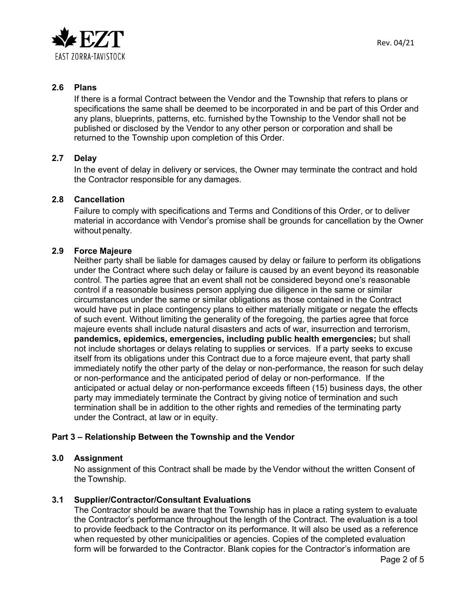

# **2.6 Plans**

If there is a formal Contract between the Vendor and the Township that refers to plans or specifications the same shall be deemed to be incorporated in and be part of this Order and any plans, blueprints, patterns, etc. furnished bythe Township to the Vendor shall not be published or disclosed by the Vendor to any other person or corporation and shall be returned to the Township upon completion of this Order.

# **2.7 Delay**

In the event of delay in delivery or services, the Owner may terminate the contract and hold the Contractor responsible for any damages.

# **2.8 Cancellation**

Failure to comply with specifications and Terms and Conditions of this Order, or to deliver material in accordance with Vendor's promise shall be grounds for cancellation by the Owner without penalty.

### **2.9 Force Majeure**

Neither party shall be liable for damages caused by delay or failure to perform its obligations under the Contract where such delay or failure is caused by an event beyond its reasonable control. The parties agree that an event shall not be considered beyond one's reasonable control if a reasonable business person applying due diligence in the same or similar circumstances under the same or similar obligations as those contained in the Contract would have put in place contingency plans to either materially mitigate or negate the effects of such event. Without limiting the generality of the foregoing, the parties agree that force majeure events shall include natural disasters and acts of war, insurrection and terrorism, **pandemics, epidemics, emergencies, including public health emergencies;** but shall not include shortages or delays relating to supplies or services. If a party seeks to excuse itself from its obligations under this Contract due to a force majeure event, that party shall immediately notify the other party of the delay or non-performance, the reason for such delay or non-performance and the anticipated period of delay or non-performance. If the anticipated or actual delay or non-performance exceeds fifteen (15) business days, the other party may immediately terminate the Contract by giving notice of termination and such termination shall be in addition to the other rights and remedies of the terminating party under the Contract, at law or in equity.

# **Part 3 – Relationship Between the Township and the Vendor**

### **3.0 Assignment**

No assignment of this Contract shall be made by the Vendor without the written Consent of the Township.

# **3.1 Supplier/Contractor/Consultant Evaluations**

The Contractor should be aware that the Township has in place a rating system to evaluate the Contractor's performance throughout the length of the Contract. The evaluation is a tool to provide feedback to the Contractor on its performance. It will also be used as a reference when requested by other municipalities or agencies. Copies of the completed evaluation form will be forwarded to the Contractor. Blank copies for the Contractor's information are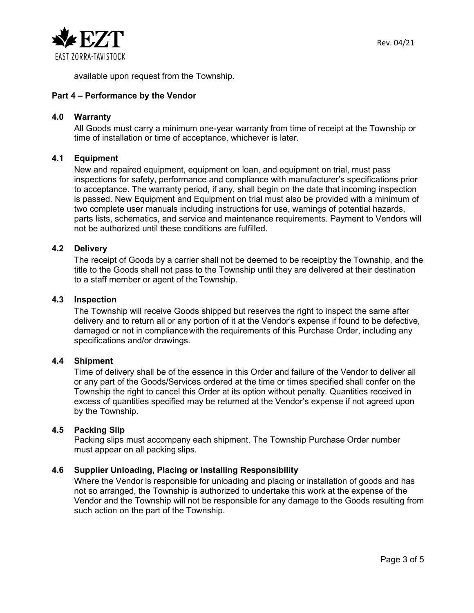

available upon request from the Township.

## **Part 4 – Performance by the Vendor**

### **4.0 Warranty**

All Goods must carry a minimum one-year warranty from time of receipt at the Township or time of installation or time of acceptance, whichever is later.

### **4.1 Equipment**

New and repaired equipment, equipment on loan, and equipment on trial, must pass inspections for safety, performance and compliance with manufacturer's specifications prior to acceptance. The warranty period, if any, shall begin on the date that incoming inspection is passed. New Equipment and Equipment on trial must also be provided with a minimum of two complete user manuals including instructions for use, warnings of potential hazards, parts lists, schematics, and service and maintenance requirements. Payment to Vendors will not be authorized until these conditions are fulfilled.

### **4.2 Delivery**

The receipt of Goods by a carrier shall not be deemed to be receipt by the Township, and the title to the Goods shall not pass to the Township until they are delivered at their destination to a staff member or agent of theTownship.

### **4.3 Inspection**

The Township will receive Goods shipped but reserves the right to inspect the same after delivery and to return all or any portion of it at the Vendor's expense if found to be defective, damaged or not in compliancewith the requirements of this Purchase Order, including any specifications and/or drawings.

### **4.4 Shipment**

Time of delivery shall be of the essence in this Order and failure of the Vendor to deliver all or any part of the Goods/Services ordered at the time or times specified shall confer on the Township the right to cancel this Order at its option without penalty. Quantities received in excess of quantities specified may be returned at the Vendor's expense if not agreed upon by the Township.

### **4.5 Packing Slip**

Packing slips must accompany each shipment. The Township Purchase Order number must appear on all packing slips.

### **4.6 Supplier Unloading, Placing or Installing Responsibility**

Where the Vendor is responsible for unloading and placing or installation of goods and has not so arranged, the Township is authorized to undertake this work at the expense of the Vendor and the Township will not be responsible for any damage to the Goods resulting from such action on the part of the Township.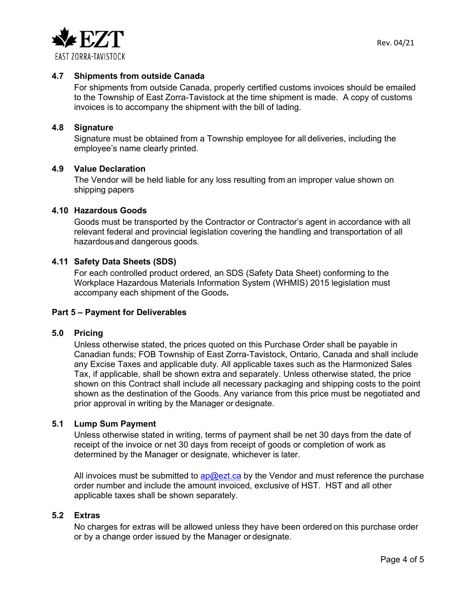

## **4.7 Shipments from outside Canada**

For shipments from outside Canada, properly certified customs invoices should be emailed to the Township of East Zorra-Tavistock at the time shipment is made. A copy of customs invoices is to accompany the shipment with the bill of lading.

### **4.8 Signature**

Signature must be obtained from a Township employee for all deliveries, including the employee's name clearly printed.

### **4.9 Value Declaration**

The Vendor will be held liable for any loss resulting from an improper value shown on shipping papers

### **4.10 Hazardous Goods**

Goods must be transported by the Contractor or Contractor's agent in accordance with all relevant federal and provincial legislation covering the handling and transportation of all hazardousand dangerous goods.

### **4.11 Safety Data Sheets (SDS)**

For each controlled product ordered, an SDS (Safety Data Sheet) conforming to the Workplace Hazardous Materials Information System (WHMIS) 2015 legislation must accompany each shipment of the Goods**.**

### **Part 5 – Payment for Deliverables**

### **5.0 Pricing**

Unless otherwise stated, the prices quoted on this Purchase Order shall be payable in Canadian funds; FOB Township of East Zorra-Tavistock, Ontario, Canada and shall include any Excise Taxes and applicable duty. All applicable taxes such as the Harmonized Sales Tax, if applicable, shall be shown extra and separately. Unless otherwise stated, the price shown on this Contract shall include all necessary packaging and shipping costs to the point shown as the destination of the Goods. Any variance from this price must be negotiated and prior approval in writing by the Manager or designate.

### **5.1 Lump Sum Payment**

Unless otherwise stated in writing, terms of payment shall be net 30 days from the date of receipt of the invoice or net 30 days from receipt of goods or completion of work as determined by the Manager or designate, whichever is later.

All invoices must be submitted to ap $@$ ezt.ca by the Vendor and must reference the purchase order number and include the amount invoiced, exclusive of HST. HST and all other applicable taxes shall be shown separately.

# **5.2 Extras**

No charges for extras will be allowed unless they have been ordered on this purchase order or by a change order issued by the Manager or designate.